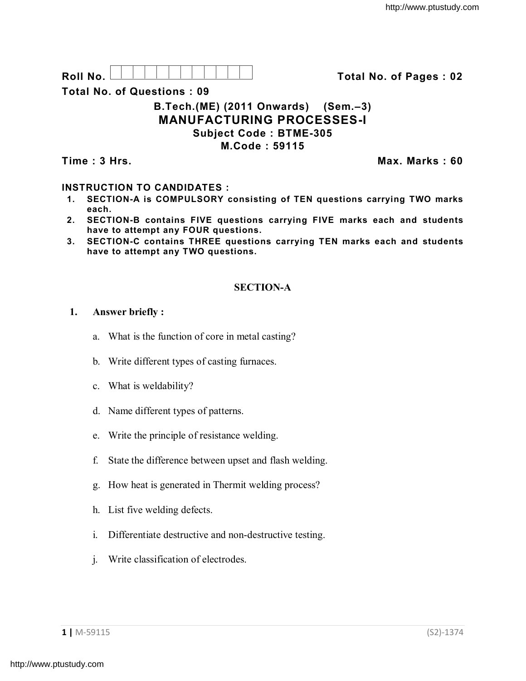**Roll No. Total No. of Pages : 02**

**Total No. of Questions : 09**

### **B.Tech.(ME) (2011 Onwards) (Sem.–3) MANUFACTURING PROCESSES-I Subject Code : BTME-305 M.Code : 59115**

**Time : 3 Hrs. Max. Marks : 60**

# **INSTRUCTION TO CANDIDATES :**

- **1. SECTION-A is COMPULSORY consisting of TEN questions carrying TWO marks each.**
- **2. SECTION-B contains FIVE questions carrying FIVE marks each and students have to attempt any FOUR questions.**
- **3. SECTION-C contains THREE questions carrying TEN marks each and students have to attempt any TWO questions.**

## **SECTION-A**

## **1. Answer briefly :**

- a. What is the function of core in metal casting?
- b. Write different types of casting furnaces.
- c. What is weldability?
- d. Name different types of patterns.
- e. Write the principle of resistance welding.
- f. State the difference between upset and flash welding.
- g. How heat is generated in Thermit welding process?
- h. List five welding defects.
- i. Differentiate destructive and non-destructive testing.
- j. Write classification of electrodes.